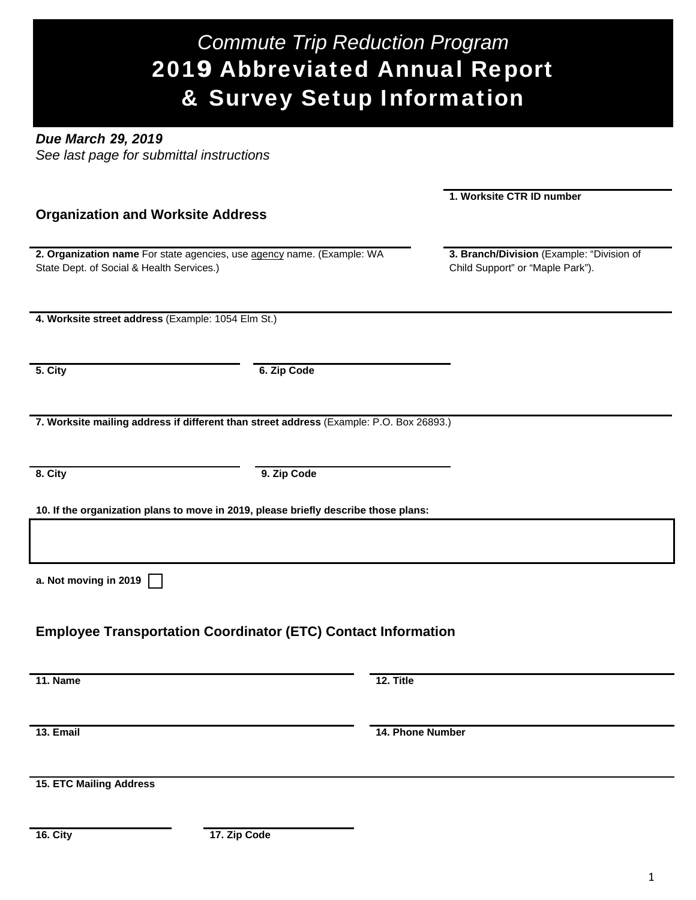# *Commute Trip Reduction Program*  2019 Abbreviated Annual Report & Survey Setup Information

*Due March 29, 2019 See last page for submittal instructions*

|                                                                                         |                  | 1. Worksite CTR ID number                 |
|-----------------------------------------------------------------------------------------|------------------|-------------------------------------------|
| <b>Organization and Worksite Address</b>                                                |                  |                                           |
|                                                                                         |                  |                                           |
| 2. Organization name For state agencies, use agency name. (Example: WA                  |                  | 3. Branch/Division (Example: "Division of |
| State Dept. of Social & Health Services.)                                               |                  | Child Support" or "Maple Park").          |
|                                                                                         |                  |                                           |
| 4. Worksite street address (Example: 1054 Elm St.)                                      |                  |                                           |
|                                                                                         |                  |                                           |
|                                                                                         |                  |                                           |
| 5. City                                                                                 | 6. Zip Code      |                                           |
|                                                                                         |                  |                                           |
|                                                                                         |                  |                                           |
| 7. Worksite mailing address if different than street address (Example: P.O. Box 26893.) |                  |                                           |
|                                                                                         |                  |                                           |
| $\overline{\mathbf{8}}$ . City                                                          | 9. Zip Code      |                                           |
|                                                                                         |                  |                                           |
| 10. If the organization plans to move in 2019, please briefly describe those plans:     |                  |                                           |
|                                                                                         |                  |                                           |
|                                                                                         |                  |                                           |
| a. Not moving in 2019                                                                   |                  |                                           |
|                                                                                         |                  |                                           |
|                                                                                         |                  |                                           |
| <b>Employee Transportation Coordinator (ETC) Contact Information</b>                    |                  |                                           |
|                                                                                         |                  |                                           |
| 11. Name                                                                                | $12.$ Title      |                                           |
|                                                                                         |                  |                                           |
|                                                                                         |                  |                                           |
| 13. Email                                                                               | 14. Phone Number |                                           |
|                                                                                         |                  |                                           |
|                                                                                         |                  |                                           |
| <b>15. ETC Mailing Address</b>                                                          |                  |                                           |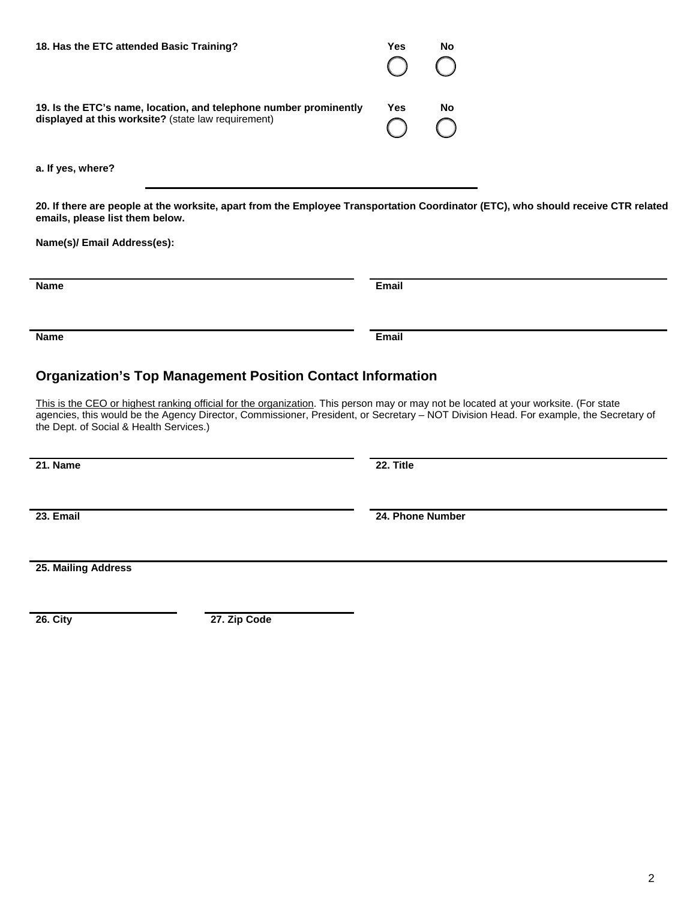2

| 18. Has the ETC attended Basic Training?                                                                                 | Yes<br>$O$ $O$ | <b>No</b> |
|--------------------------------------------------------------------------------------------------------------------------|----------------|-----------|
| 19. Is the ETC's name, location, and telephone number prominently<br>displayed at this worksite? (state law requirement) | Yes<br>$O$ $O$ | No        |

**a. If yes, where?**

**20. If there are people at the worksite, apart from the Employee Transportation Coordinator (ETC), who should receive CTR related emails, please list them below.**

**Name(s)/ Email Address(es):** 

## **Organization's Top Management Position Contact Information**

**Name Email**

This is the CEO or highest ranking official for the organization. This person may or may not be located at your worksite. (For state agencies, this would be the Agency Director, Commissioner, President, or Secretary – NOT Division Head. For example, the Secretary of the Dept. of Social & Health Services.)

**21. Name 22. Title**

**23. Email 24. Phone Number**

**25. Mailing Address**

**26. City 27. Zip Code**

**Name Email**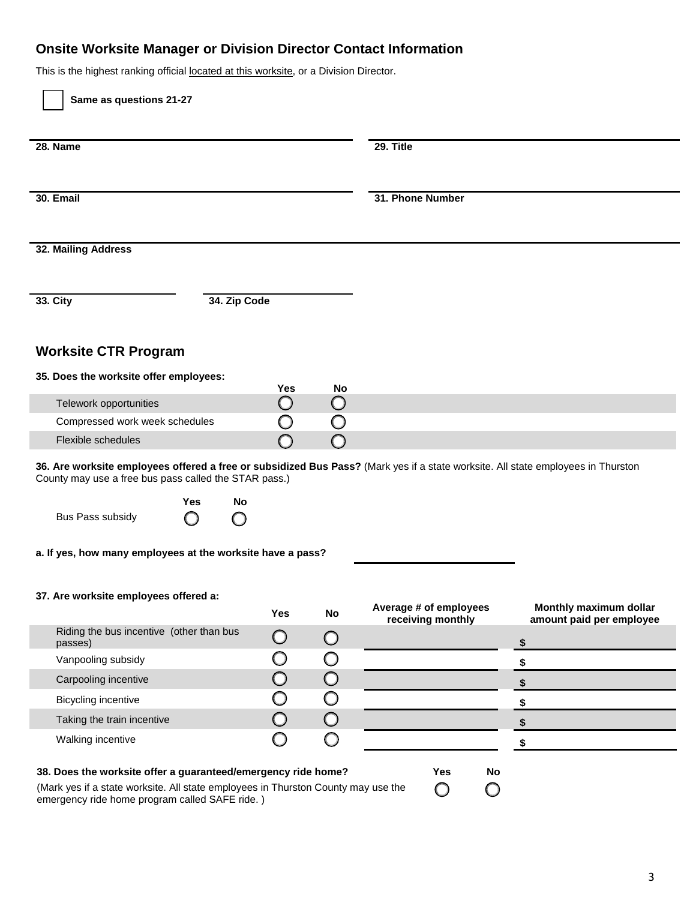## **Onsite Worksite Manager or Division Director Contact Information**

This is the highest ranking official located at this worksite, or a Division Director.

| 28. Name                                                                                                                                                                                  |              |            |            | 29. Title              |                                |
|-------------------------------------------------------------------------------------------------------------------------------------------------------------------------------------------|--------------|------------|------------|------------------------|--------------------------------|
| 30. Email                                                                                                                                                                                 |              |            |            | 31. Phone Number       |                                |
| 32. Mailing Address                                                                                                                                                                       |              |            |            |                        |                                |
| 33. City                                                                                                                                                                                  | 34. Zip Code |            |            |                        |                                |
| <b>Worksite CTR Program</b>                                                                                                                                                               |              |            |            |                        |                                |
| 35. Does the worksite offer employees:                                                                                                                                                    |              | <b>Yes</b> | <b>No</b>  |                        |                                |
| Telework opportunities                                                                                                                                                                    |              | $\bigcirc$ | $\bigcirc$ |                        |                                |
| Compressed work week schedules                                                                                                                                                            |              | O          | O          |                        |                                |
| Flexible schedules                                                                                                                                                                        |              |            |            |                        |                                |
| 36. Are worksite employees offered a free or subsidized Bus Pass? (Mark yes if a state worksite. All state employees in Thurston<br>County may use a free bus pass called the STAR pass.) |              |            |            |                        |                                |
|                                                                                                                                                                                           |              |            |            |                        |                                |
| Yes<br>Bus Pass subsidy<br>O                                                                                                                                                              | No<br>O      |            |            |                        |                                |
| a. If yes, how many employees at the worksite have a pass?                                                                                                                                |              |            |            |                        |                                |
| 37. Are worksite employees offered a:                                                                                                                                                     |              | Yes        | No         | Average # of employees | Monthly maximum dollar         |
| Riding the bus incentive (other than bus<br>passes)                                                                                                                                       |              | $\bigcirc$ | $\bigcirc$ | receiving monthly      | \$                             |
| Vanpooling subsidy                                                                                                                                                                        |              | O          | O          |                        | amount paid per employee<br>\$ |
| Carpooling incentive                                                                                                                                                                      |              | $\bigcirc$ | $\bigcirc$ |                        | \$                             |
| <b>Bicycling incentive</b>                                                                                                                                                                |              | $\bigcirc$ | O          |                        |                                |
| Taking the train incentive                                                                                                                                                                |              | $\bigcirc$ | $\bigcirc$ |                        | $$$<br>$\sqrt[6]{\frac{1}{2}}$ |

(Mark yes if a state worksite. All state employees in Thurston County may use the emergency ride home program called SAFE ride. )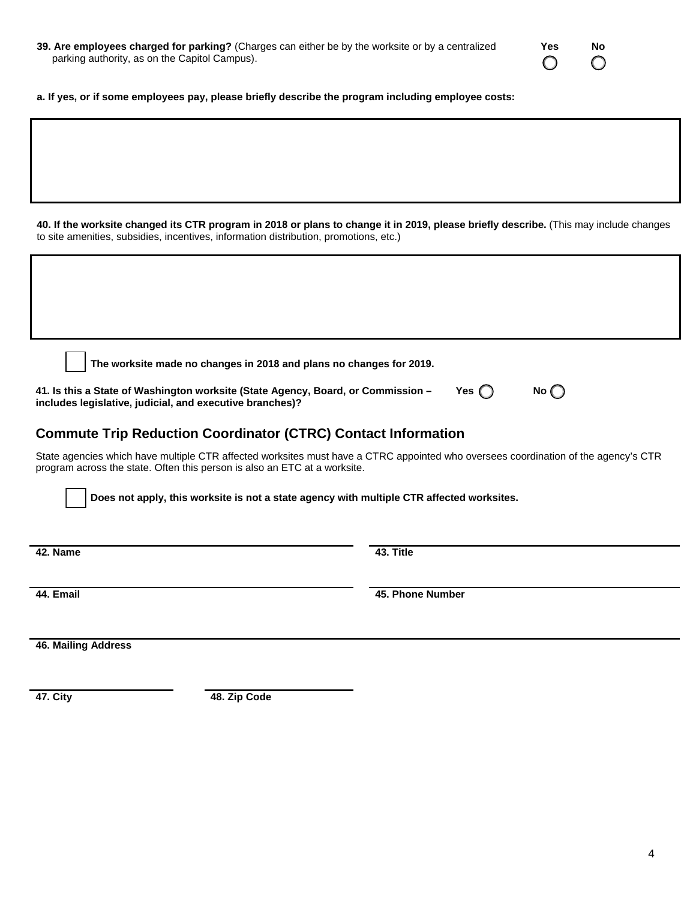| 39. Are employees charged for parking? (Charges can either be by the worksite or by a centralized |  |
|---------------------------------------------------------------------------------------------------|--|
| parking authority, as on the Capitol Campus).                                                     |  |

| Yes | No |
|-----|----|
|     |    |

**a. If yes, or if some employees pay, please briefly describe the program including employee costs:**

**40. If the worksite changed its CTR program in 2018 or plans to change it in 2019, please briefly describe.** (This may include changes to site amenities, subsidies, incentives, information distribution, promotions, etc.)

**The worksite made no changes in 2018 and plans no changes for 2019.**

**41. Is this a State of Washington worksite (State Agency, Board, or Commission – includes legislative, judicial, and executive branches)?**

### **Commute Trip Reduction Coordinator (CTRC) Contact Information**

State agencies which have multiple CTR affected worksites must have a CTRC appointed who oversees coordination of the agency's CTR program across the state. Often this person is also an ETC at a worksite.

**Does not apply, this worksite is not a state agency with multiple CTR affected worksites.**

**42. Name 43. Title**

**44. Email 45. Phone Number**

**Yes**  $\bigcap$  **No** $\bigcap$ 

**46. Mailing Address**

**47. City 48. Zip Code**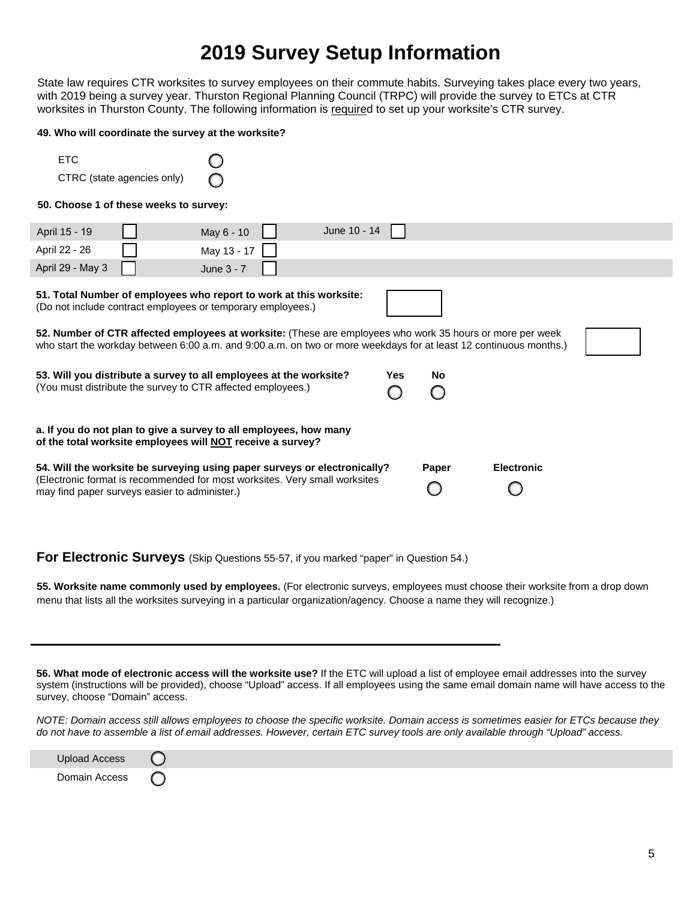## **2019 Survey Setup Information**

State law requires CTR worksites to survey employees on their commute habits. Surveying takes place every two years, with 2019 being a survey year. Thurston Regional Planning Council (TRPC) will provide the survey to ETCs at CTR worksites in Thurston County. The following information is required to set up your worksite's CTR survey.

#### **49. Who will coordinate the survey at the worksite?**

| <b>FTC</b>                 |  |
|----------------------------|--|
| CTRC (state agencies only) |  |

#### **50. Choose 1 of these weeks to survey:**

| April 15 - 19                                                                                                                                                                                                                  | May 6 - 10  | June 10 - 14 |            |       |                   |  |
|--------------------------------------------------------------------------------------------------------------------------------------------------------------------------------------------------------------------------------|-------------|--------------|------------|-------|-------------------|--|
| April 22 - 26                                                                                                                                                                                                                  | May 13 - 17 |              |            |       |                   |  |
| April 29 - May 3                                                                                                                                                                                                               | June 3 - 7  |              |            |       |                   |  |
| 51. Total Number of employees who report to work at this worksite:<br>(Do not include contract employees or temporary employees.)                                                                                              |             |              |            |       |                   |  |
| 52. Number of CTR affected employees at worksite: (These are employees who work 35 hours or more per week<br>who start the workday between 6:00 a.m. and 9:00 a.m. on two or more weekdays for at least 12 continuous months.) |             |              |            |       |                   |  |
| 53. Will you distribute a survey to all employees at the worksite?<br>(You must distribute the survey to CTR affected employees.)                                                                                              |             |              | <b>Yes</b> | No    |                   |  |
| a. If you do not plan to give a survey to all employees, how many<br>of the total worksite employees will NOT receive a survey?                                                                                                |             |              |            |       |                   |  |
| 54. Will the worksite be surveying using paper surveys or electronically?<br>(Electronic format is recommended for most worksites. Very small worksites<br>may find paper surveys easier to administer.)                       |             |              |            | Paper | <b>Electronic</b> |  |

**For Electronic Surveys** (Skip Questions 55-57, if you marked "paper" in Question 54.)

**55. Worksite name commonly used by employees.** (For electronic surveys, employees must choose their worksite from a drop down menu that lists all the worksites surveying in a particular organization/agency. Choose a name they will recognize.)

**56. What mode of electronic access will the worksite use?** If the ETC will upload a list of employee email addresses into the survey system (instructions will be provided), choose "Upload" access. If all employees using the same email domain name will have access to the survey, choose "Domain" access.

*NOTE: Domain access still allows employees to choose the specific worksite. Domain access is sometimes easier for ETCs because they do not have to assemble a list of email addresses. However, certain ETC survey tools are only available through "Upload" access.*

| Upload Access |  |
|---------------|--|
| Domain Access |  |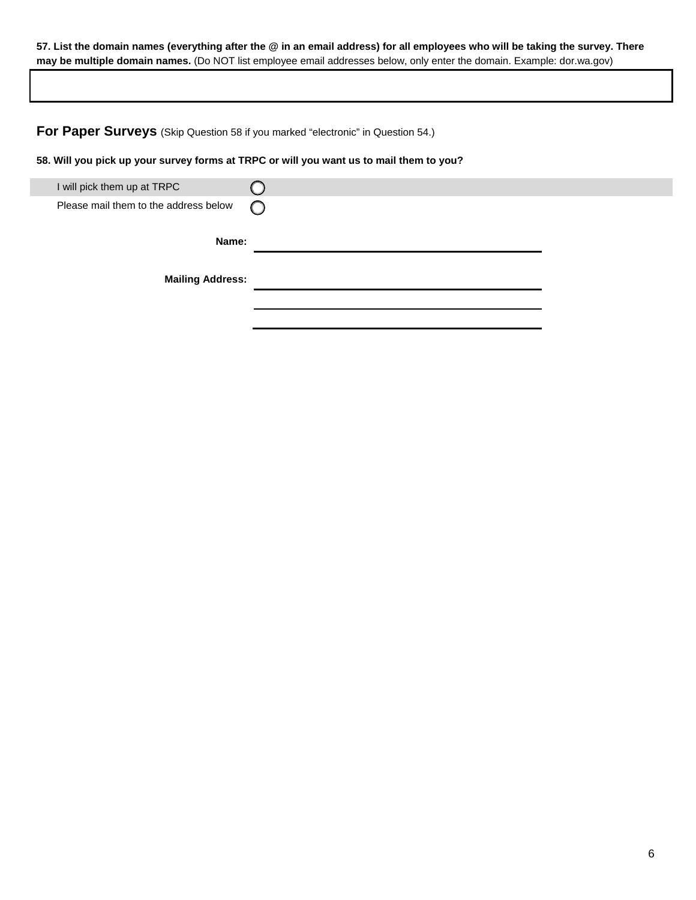#### **57. List the domain names (everything after the @ in an email address) for all employees who will be taking the survey. There may be multiple domain names.** (Do NOT list employee email addresses below, only enter the domain. Example: dor.wa.gov)

**For Paper Surveys** (Skip Question 58 if you marked "electronic" in Question 54.)

**58. Will you pick up your survey forms at TRPC or will you want us to mail them to you?**

| I will pick them up at TRPC           |            |
|---------------------------------------|------------|
| Please mail them to the address below | $\bigcirc$ |
|                                       |            |
| Name:                                 |            |
|                                       |            |
| <b>Mailing Address:</b>               |            |
|                                       |            |
|                                       |            |
|                                       |            |
|                                       |            |